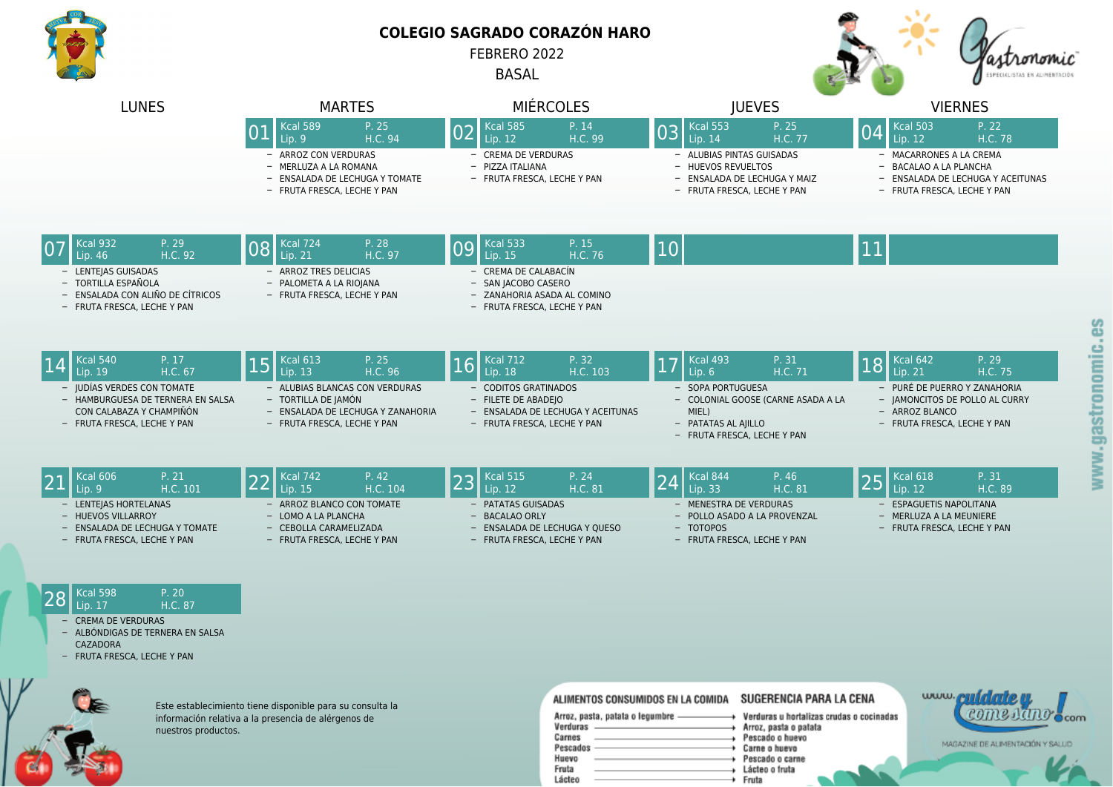

## **COLEGIO SAGRADO CORAZÓN HARO**

FEBRERO 2022

BASAL



| <b>LUNES</b>                                                                                                                                                                 | <b>MARTES</b>                                                                                                                                                                | <b>MIÉRCOLES</b>                                                                                                                                                                | <b>IUEVES</b>                                                                                                                                                                | <b>VIERNES</b>                                                                                                                                                                |
|------------------------------------------------------------------------------------------------------------------------------------------------------------------------------|------------------------------------------------------------------------------------------------------------------------------------------------------------------------------|---------------------------------------------------------------------------------------------------------------------------------------------------------------------------------|------------------------------------------------------------------------------------------------------------------------------------------------------------------------------|-------------------------------------------------------------------------------------------------------------------------------------------------------------------------------|
|                                                                                                                                                                              | <b>Kcal 589</b><br>P. 25<br>H.C. 94<br>Lip. 9<br>- ARROZ CON VERDURAS<br>- MERLUZA A LA ROMANA<br>- ENSALADA DE LECHUGA Y TOMATE<br>- FRUTA FRESCA, LECHE Y PAN              | <b>Kcal 585</b><br>P. 14<br>02<br>H.C. 99<br>Lip. 12<br>- CREMA DE VERDURAS<br>- PIZZA ITALIANA<br>- FRUTA FRESCA, LECHE Y PAN                                                  | Kcal 553<br>P. 25<br>03<br>H.C. 77<br>Lip. 14<br>- ALUBIAS PINTAS GUISADAS<br>- HUEVOS REVUELTOS<br>- ENSALADA DE LECHUGA Y MAIZ<br>- FRUTA FRESCA, LECHE Y PAN              | <b>Kcal 503</b><br>P. 22<br>04<br>Lip. 12<br>H.C. 78<br>- MACARRONES A LA CREMA<br>- BACALAO A LA PLANCHA<br>- ENSALADA DE LECHUGA Y ACEITUNAS<br>- FRUTA FRESCA, LECHE Y PAN |
| Kcal 932<br>P. 29<br>H.C. 92<br>Lip. 46<br>- LENTEIAS GUISADAS<br>- TORTILLA ESPAÑOLA<br>- ENSALADA CON ALIÑO DE CÍTRICOS<br>- FRUTA FRESCA, LECHE Y PAN                     | P. 28<br><b>Kcal 724</b><br>08<br>H.C. 97<br>Lip. 21<br>- ARROZ TRES DELICIAS<br>- PALOMETA A LA RIOJANA<br>- FRUTA FRESCA, LECHE Y PAN                                      | <b>Kcal 533</b><br>P. 15<br>09<br>Lip. $15$<br>H.C. 76<br>- CREMA DE CALABACÍN<br>- SAN JACOBO CASERO<br>- ZANAHORIA ASADA AL COMINO<br>- FRUTA FRESCA, LECHE Y PAN             | 10                                                                                                                                                                           | <b>11</b>                                                                                                                                                                     |
| <b>Kcal 540</b><br>P. 17<br>H.C. 67<br>Lip. 19<br>- JUDÍAS VERDES CON TOMATE<br>- HAMBURGUESA DE TERNERA EN SALSA<br>CON CALABAZA Y CHAMPIÑÓN<br>- FRUTA FRESCA, LECHE Y PAN | P. 25<br>Kcal 613<br>15<br>Lip. $13$<br>H.C. 96<br>- ALUBIAS BLANCAS CON VERDURAS<br>- TORTILLA DE JAMÓN<br>- ENSALADA DE LECHUGA Y ZANAHORIA<br>- FRUTA FRESCA, LECHE Y PAN | <b>Kcal 712</b><br>P. 32<br> 16 <br>Lip. 18<br>H.C. 103<br><b>CODITOS GRATINADOS</b><br>- FILETE DE ABADEJO<br>- ENSALADA DE LECHUGA Y ACEITUNAS<br>- FRUTA FRESCA, LECHE Y PAN | <b>Kcal 493</b><br>P. 31<br>17<br>H.C. 71<br>Lip.6<br>- SOPA PORTUGUESA<br>- COLONIAL GOOSE (CARNE ASADA A LA<br>MIEL)<br>- PATATAS AL AIILLO<br>- FRUTA FRESCA, LECHE Y PAN | Kcal 642<br>P. 29<br>18<br>Lip. 21<br>H.C. 75<br>- PURÉ DE PUERRO Y ZANAHORIA<br>- JAMONCITOS DE POLLO AL CURRY<br>- ARROZ BLANCO<br>- FRUTA FRESCA, LECHE Y PAN              |
| <b>Kcal 606</b><br>P. 21<br>H.C. 101<br>Lip.9<br>- LENTEJAS HORTELANAS<br>- HUEVOS VILLARROY<br>- ENSALADA DE LECHUGA Y TOMATE<br>- FRUTA FRESCA, LECHE Y PAN                | <b>Kcal 742</b><br>P. 42<br>22<br>H.C. 104<br>Lip. 15<br>ARROZ BLANCO CON TOMATE<br>- LOMO A LA PLANCHA<br>- CEBOLLA CARAMELIZADA<br>- FRUTA FRESCA, LECHE Y PAN             | <b>Kcal 515</b><br>P. 24<br>23<br>Lip. $12$<br>H.C. 81<br>PATATAS GUISADAS<br>- BACALAO ORLY<br>- ENSALADA DE LECHUGA Y QUESO<br>- FRUTA FRESCA, LECHE Y PAN                    | Kcal 844<br>P. 46<br>24<br>Lip. 33<br>H.C. 81<br>- MENESTRA DE VERDURAS<br>- POLLO ASADO A LA PROVENZAL<br>- TOTOPOS<br>- FRUTA FRESCA, LECHE Y PAN                          | Kcal 618<br>P. 31<br>25<br>H.C. 89<br>Lip. 12<br>- ESPAGUETIS NAPOLITANA<br>- MERLUZA A LA MEUNIERE<br>- FRUTA FRESCA, LECHE Y PAN                                            |
| <b>Kcal 598</b><br>P. 20<br>28<br>H.C. 87<br>Lip. 17<br><b>CREMA DE VERDURAS</b><br>- ALBÓNDIGAS DE TERNERA EN SALSA<br>CAZADORA<br>- FRUTA FRESCA, LECHE Y PAN              |                                                                                                                                                                              |                                                                                                                                                                                 |                                                                                                                                                                              |                                                                                                                                                                               |



Este establecimiento tiene disponible para su consulta la información relativa a la presencia de alérgenos de nuestros productos.

## ALIMENTOS CONSUMIDOS EN LA COMIDA SUGERENCIA PARA LA CENA

| Verduras u ho  |
|----------------|
| Arroz, pasta o |
| Pescado o hu   |
| Carne o huevo  |
| Pescado o ca   |
| Lácteo o fruta |
| Fruta          |
|                |

ortalizas crudas o cocinadas o patata levo 0 rne